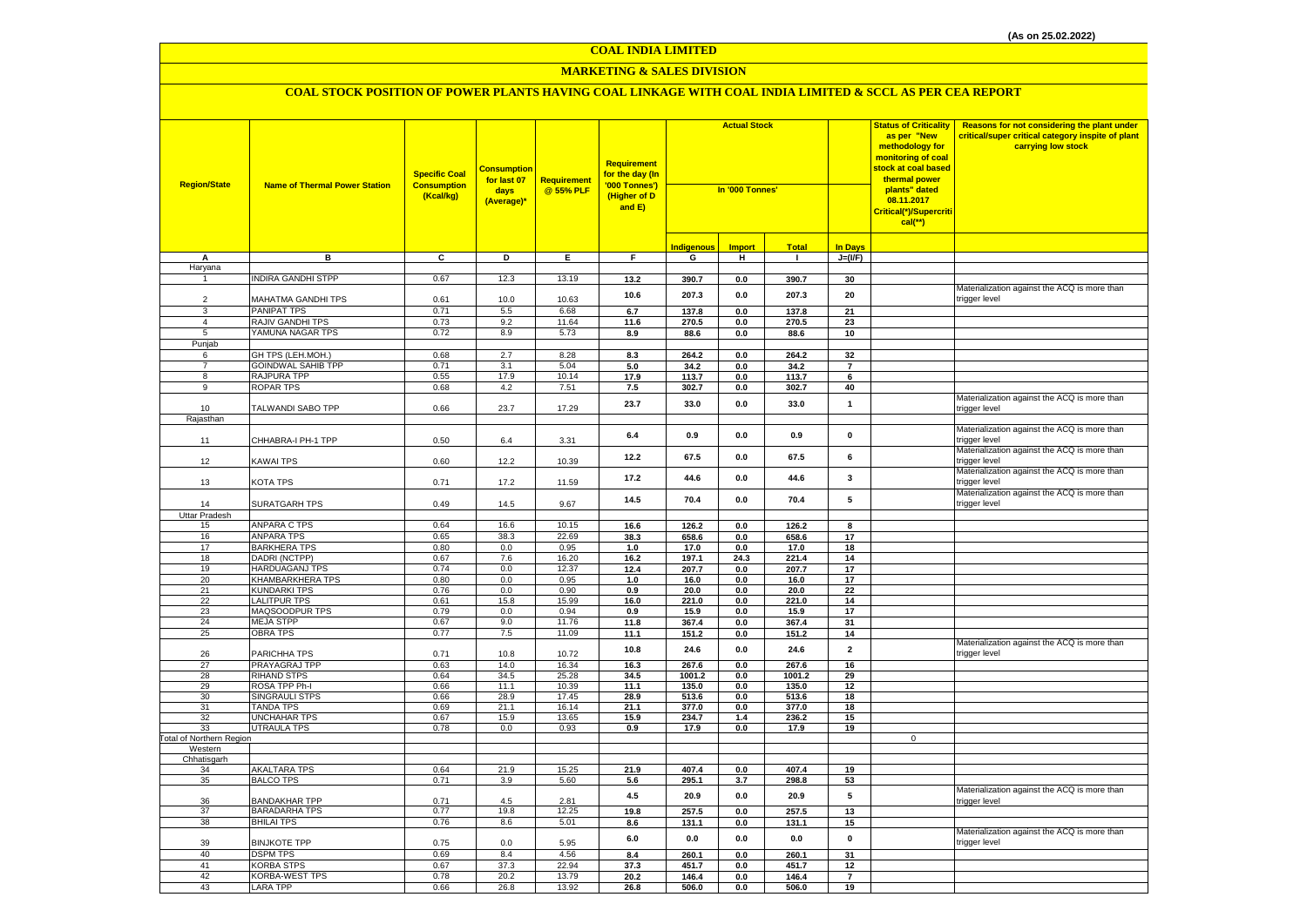#### **MARKETING & SALES DIVISION**

| <b>Region/State</b>             | <b>Name of Thermal Power Station</b>      | <b>Specific Coal</b><br><b>Consumption</b><br>(Kcal/kg) | <mark>Consumption</mark><br>for last 07<br>days<br>(Average)* | <b>Requirement</b><br>@ 55% PLF | <b>Requirement</b><br>for the day (In<br>'000 Tonnes')<br>(Higher of D<br>and E) | <b>Actual Stock</b><br>In '000 Tonnes' |                |               | <b>Status of Criticality</b><br>as per "New<br>methodology for<br>monitoring of coal<br>stock at coal based<br>thermal power<br>plants" dated<br>08.11.2017<br>Critical(*)/Supercriti<br>$cal$ (**) | Reasons for not considering the plant under<br>critical/super critical category inspite of plant<br>carrying low stock |                                                               |
|---------------------------------|-------------------------------------------|---------------------------------------------------------|---------------------------------------------------------------|---------------------------------|----------------------------------------------------------------------------------|----------------------------------------|----------------|---------------|-----------------------------------------------------------------------------------------------------------------------------------------------------------------------------------------------------|------------------------------------------------------------------------------------------------------------------------|---------------------------------------------------------------|
|                                 |                                           |                                                         |                                                               |                                 |                                                                                  | Indigenous                             | <b>Import</b>  | <b>Total</b>  | <b>In Days</b>                                                                                                                                                                                      |                                                                                                                        |                                                               |
| А                               | в                                         | C                                                       | D                                                             | Ε.                              | F.                                                                               | G                                      | н.             | $\mathbf{I}$  | $J=(VF)$                                                                                                                                                                                            |                                                                                                                        |                                                               |
| Haryana                         |                                           |                                                         |                                                               |                                 |                                                                                  |                                        |                |               |                                                                                                                                                                                                     |                                                                                                                        |                                                               |
| $\overline{1}$                  | INDIRA GANDHI STPP                        | 0.67                                                    | 12.3                                                          | 13.19                           | 13.2                                                                             | 390.7                                  | 0.0            | 390.7         | 30                                                                                                                                                                                                  |                                                                                                                        |                                                               |
|                                 |                                           |                                                         |                                                               |                                 | 10.6                                                                             | 207.3                                  | 0.0            | 207.3         | 20                                                                                                                                                                                                  |                                                                                                                        | Materialization against the ACQ is more than                  |
| $\overline{2}$                  | MAHATMA GANDHI TPS                        | 0.61<br>0.71                                            | 10.0                                                          | 10.63                           |                                                                                  |                                        |                |               |                                                                                                                                                                                                     |                                                                                                                        | trigger level                                                 |
| 3                               | <b>PANIPAT TPS</b><br>RAJIV GANDHI TPS    | 0.73                                                    | 5.5<br>9.2                                                    | 6.68<br>11.64                   | 6.7                                                                              | 137.8                                  | 0.0            | 137.8         | $\overline{21}$                                                                                                                                                                                     |                                                                                                                        |                                                               |
| $\overline{4}$<br>5             | YAMUNA NAGAR TPS                          | 0.72                                                    | 8.9                                                           | 5.73                            | 11.6<br>8.9                                                                      | 270.5<br>88.6                          | 0.0<br>0.0     | 270.5<br>88.6 | 23<br>10                                                                                                                                                                                            |                                                                                                                        |                                                               |
| Punjab                          |                                           |                                                         |                                                               |                                 |                                                                                  |                                        |                |               |                                                                                                                                                                                                     |                                                                                                                        |                                                               |
| 6                               | GH TPS (LEH.MOH.)                         | 0.68                                                    | 2.7                                                           | 8.28                            | 8.3                                                                              | 264.2                                  | 0.0            | 264.2         | 32                                                                                                                                                                                                  |                                                                                                                        |                                                               |
| $\overline{7}$                  | <b>GOINDWAL SAHIB TPP</b>                 | 0.71                                                    | 3.1                                                           | 5.04                            | 5.0                                                                              | 34.2                                   | 0.0            | 34.2          | $\overline{\phantom{a}}$                                                                                                                                                                            |                                                                                                                        |                                                               |
| 8                               | RAJPURA TPP                               | 0.55                                                    | 17.9                                                          | 10.14                           | 17.9                                                                             | 113.7                                  | 0.0            | 113.7         | 6                                                                                                                                                                                                   |                                                                                                                        |                                                               |
| 9                               | <b>ROPAR TPS</b>                          | 0.68                                                    | 4.2                                                           | 7.51                            | 7.5                                                                              | 302.7                                  | 0.0            | 302.7         | 40                                                                                                                                                                                                  |                                                                                                                        |                                                               |
| 10                              | TALWANDI SABO TPP                         | 0.66                                                    | 23.7                                                          | 17.29                           | 23.7                                                                             | 33.0                                   | 0.0            | 33.0          | $\mathbf{1}$                                                                                                                                                                                        |                                                                                                                        | Materialization against the ACQ is more than<br>trigger level |
| Rajasthan                       |                                           |                                                         |                                                               |                                 |                                                                                  |                                        |                |               |                                                                                                                                                                                                     |                                                                                                                        |                                                               |
| 11                              | CHHABRA-I PH-1 TPP                        | 0.50                                                    | 6.4                                                           | 3.31                            | 6.4                                                                              | 0.9                                    | 0.0            | 0.9           | $\mathbf 0$                                                                                                                                                                                         |                                                                                                                        | Materialization against the ACQ is more than<br>trigger level |
| 12                              | <b>KAWAI TPS</b>                          | 0.60                                                    | 12.2                                                          | 10.39                           | 12.2                                                                             | 67.5                                   | 0.0            | 67.5          | 6                                                                                                                                                                                                   |                                                                                                                        | Materialization against the ACQ is more than<br>trigger level |
| 13                              | KOTA TPS                                  | 0.71                                                    | 17.2                                                          | 11.59                           | 17.2                                                                             | 44.6                                   | 0.0            | 44.6          | $\overline{\mathbf{3}}$                                                                                                                                                                             |                                                                                                                        | Materialization against the ACQ is more than<br>trigger level |
| 14                              | SURATGARH TPS                             | 0.49                                                    | 14.5                                                          | 9.67                            | 14.5                                                                             | 70.4                                   | 0.0            | 70.4          | 5                                                                                                                                                                                                   |                                                                                                                        | Materialization against the ACQ is more than<br>trigger level |
| Uttar Pradesh<br>15             | <b>ANPARA C TPS</b>                       | 0.64                                                    | 16.6                                                          | 10.15                           | 16.6                                                                             | 126.2                                  | 0.0            | 126.2         |                                                                                                                                                                                                     |                                                                                                                        |                                                               |
| 16                              | <b>ANPARA TPS</b>                         | 0.65                                                    | 38.3                                                          | 22.69                           | 38.3                                                                             | 658.6                                  | 0.0            | 658.6         | 8<br>17                                                                                                                                                                                             |                                                                                                                        |                                                               |
| 17                              | <b>BARKHERA TPS</b>                       | 0.80                                                    | 0.0                                                           | 0.95                            | 1.0                                                                              | 17.0                                   | 0.0            | 17.0          | 18                                                                                                                                                                                                  |                                                                                                                        |                                                               |
| 18                              | DADRI (NCTPP)                             | 0.67                                                    | 7.6                                                           | 16.20                           | 16.2                                                                             | 197.1                                  | 24.3           | 221.4         | 14                                                                                                                                                                                                  |                                                                                                                        |                                                               |
| 19                              | HARDUAGANJ TPS                            | 0.74                                                    | 0.0                                                           | 12.37                           | 12.4                                                                             | 207.7                                  | 0.0            | 207.7         | 17                                                                                                                                                                                                  |                                                                                                                        |                                                               |
| 20                              | KHAMBARKHERA TPS                          | 0.80                                                    | 0.0                                                           | 0.95                            | 1.0                                                                              | 16.0                                   | 0.0            | 16.0          | 17                                                                                                                                                                                                  |                                                                                                                        |                                                               |
| 21                              | <b>KUNDARKI TPS</b>                       | 0.76                                                    | 0.0                                                           | 0.90                            | 0.9                                                                              | 20.0                                   | 0.0            | 20.0          | 22                                                                                                                                                                                                  |                                                                                                                        |                                                               |
| 22                              | <b>LALITPUR TPS</b>                       | 0.61                                                    | 15.8                                                          | 15.99                           | 16.0                                                                             | 221.0                                  | 0.0            | 221.0         | 14                                                                                                                                                                                                  |                                                                                                                        |                                                               |
| 23                              | MAQSOODPUR TPS                            | 0.79                                                    | 0.0                                                           | 0.94                            | 0.9                                                                              | 15.9                                   | 0.0            | 15.9          | 17                                                                                                                                                                                                  |                                                                                                                        |                                                               |
| 24                              | <b>MEJA STPP</b>                          | 0.67                                                    | 9.0                                                           | 11.76                           | 11.8                                                                             | 367.4                                  | 0.0            | 367.4         | 31                                                                                                                                                                                                  |                                                                                                                        |                                                               |
| 25                              | <b>OBRA TPS</b>                           | 0.77                                                    | 7.5                                                           | 11.09                           | 11.1                                                                             | 151.2                                  | 0.0            | 151.2         | 14                                                                                                                                                                                                  |                                                                                                                        | Materialization against the ACQ is more than                  |
| 26                              | PARICHHA TPS                              | 0.71                                                    | 10.8                                                          | 10.72                           | 10.8                                                                             | 24.6                                   | 0.0            | 24.6          | $\overline{2}$                                                                                                                                                                                      |                                                                                                                        | trigger level                                                 |
| 27                              | PRAYAGRAJ TPP                             | 0.63                                                    | 14.0                                                          | 16.34                           | 16.3                                                                             | 267.6                                  | 0.0            | 267.6         | 16                                                                                                                                                                                                  |                                                                                                                        |                                                               |
| 28                              | <b>RIHAND STPS</b>                        | 0.64                                                    | 34.5                                                          | 25.28                           | 34.5                                                                             | 1001.2                                 | 0.0            | 1001.2        | 29                                                                                                                                                                                                  |                                                                                                                        |                                                               |
| 29                              | ROSA TPP Ph-I                             | 0.66                                                    | 11.1                                                          | 10.39                           | 11.1                                                                             | 135.0                                  | 0.0            | 135.0         | 12                                                                                                                                                                                                  |                                                                                                                        |                                                               |
| 30                              | <b>SINGRAULI STPS</b>                     | 0.66                                                    | 28.9                                                          | 17.45                           | 28.9                                                                             | 513.6                                  | 0.0            | 513.6         | 18                                                                                                                                                                                                  |                                                                                                                        |                                                               |
| 31<br>32                        | <b>TANDA TPS</b><br><b>UNCHAHAR TPS</b>   | 0.69<br>0.67                                            | 21.1                                                          | 16.14<br>13.65                  | 21.1                                                                             | 377.0<br>234.7                         | 0.0            | 377.0         | 18                                                                                                                                                                                                  |                                                                                                                        |                                                               |
| 33                              | <b>UTRAULA TPS</b>                        | 0.78                                                    | 15.9<br>0.0                                                   | 0.93                            | 15.9<br>0.9                                                                      | 17.9                                   | 1.4<br>0.0     | 236.2<br>17.9 | 15<br>19                                                                                                                                                                                            |                                                                                                                        |                                                               |
| <b>Total of Northern Region</b> |                                           |                                                         |                                                               |                                 |                                                                                  |                                        |                |               |                                                                                                                                                                                                     | $\mathbf 0$                                                                                                            |                                                               |
| Western                         |                                           |                                                         |                                                               |                                 |                                                                                  |                                        |                |               |                                                                                                                                                                                                     |                                                                                                                        |                                                               |
| Chhatisgarh                     |                                           |                                                         |                                                               |                                 |                                                                                  |                                        |                |               |                                                                                                                                                                                                     |                                                                                                                        |                                                               |
| 34                              | <b>AKALTARA TPS</b>                       | 0.64                                                    | 21.9                                                          | 15.25                           | 21.9                                                                             | 407.4                                  | 0.0            | 407.4         | 19                                                                                                                                                                                                  |                                                                                                                        |                                                               |
| 35                              | <b>BALCO TPS</b>                          | 0.71                                                    | 3.9                                                           | 5.60                            | 5.6<br>4.5                                                                       | 295.1<br>20.9                          | 3.7<br>$0.0\,$ | 298.8<br>20.9 | 53<br>${\bf 5}$                                                                                                                                                                                     |                                                                                                                        | Materialization against the ACQ is more than                  |
| 36                              | <b>BANDAKHAR TPP</b>                      | 0.71<br>0.77                                            | 4.5                                                           | 2.81                            |                                                                                  |                                        |                |               |                                                                                                                                                                                                     |                                                                                                                        | trigger level                                                 |
| 37<br>38                        | <b>BARADARHA TPS</b><br><b>BHILAI TPS</b> | 0.76                                                    | 19.8<br>8.6                                                   | 12.25<br>5.01                   | 19.8<br>8.6                                                                      | 257.5<br>131.1                         | 0.0            | 257.5         | 13<br>15                                                                                                                                                                                            |                                                                                                                        |                                                               |
|                                 |                                           |                                                         |                                                               |                                 |                                                                                  |                                        | 0.0            | 131.1         |                                                                                                                                                                                                     |                                                                                                                        | Materialization against the ACQ is more than                  |
| 39<br>40                        | <b>BINJKOTE TPP</b><br><b>DSPM TPS</b>    | 0.75<br>0.69                                            | 0.0<br>8.4                                                    | 5.95<br>4.56                    | 6.0<br>8.4                                                                       | 0.0<br>260.1                           | 0.0<br>0.0     | 0.0<br>260.1  | $\mathbf 0$<br>31                                                                                                                                                                                   |                                                                                                                        | trigger level                                                 |
| 41                              | <b>KORBA STPS</b>                         | 0.67                                                    | 37.3                                                          | 22.94                           | 37.3                                                                             | 451.7                                  | 0.0            | 451.7         | 12                                                                                                                                                                                                  |                                                                                                                        |                                                               |
| 42                              | <b>KORBA-WEST TPS</b>                     | 0.78                                                    | 20.2                                                          | 13.79                           | 20.2                                                                             | 146.4                                  | 0.0            | 146.4         | $\overline{7}$                                                                                                                                                                                      |                                                                                                                        |                                                               |
| 43                              | <b>LARA TPP</b>                           | 0.66                                                    | 26.8                                                          | 13.92                           | 26.8                                                                             | 506.0                                  | 0.0            | 506.0         | 19                                                                                                                                                                                                  |                                                                                                                        |                                                               |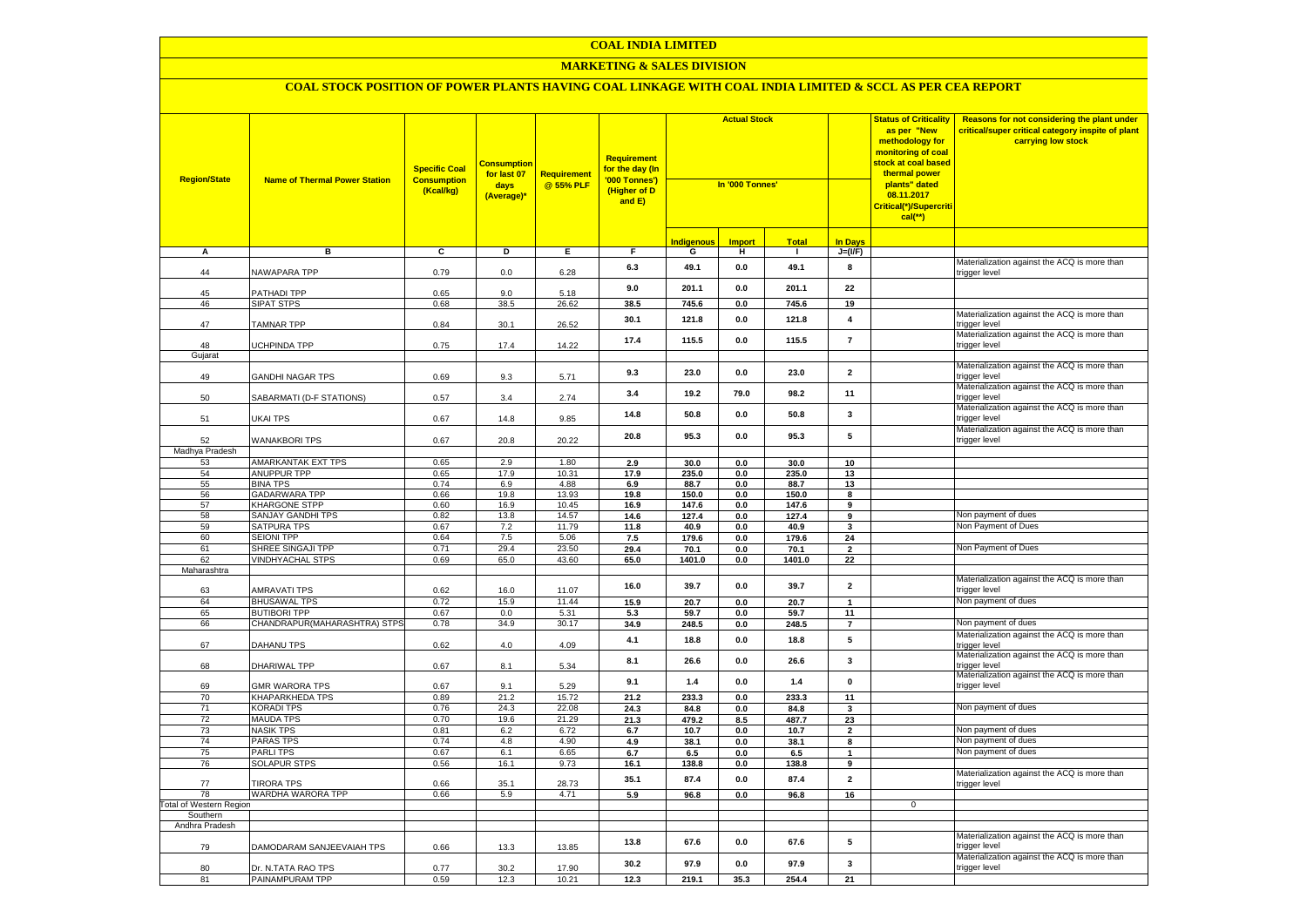#### **MARKETING & SALES DIVISION**

| <b>Region/State</b>            | <b>Name of Thermal Power Station</b>         | <b>Specific Coal</b><br><b>Consumption</b><br>(Kcal/kg) | <b>Consumption</b><br>for last 07<br>days<br>(Average)* | <b>Requirement</b><br>@ 55% PLF | Requirement<br>for the day (In<br>'000 Tonnes')<br>(Higher of D<br>and E) | <b>Actual Stock</b><br>In '000 Tonnes' |                       |                |                         | <b>Status of Criticality</b><br>as per "New<br>methodology for<br>monitoring of coal<br><mark>stock at coal based</mark><br>thermal power<br>plants" dated<br>08.11.2017<br><mark>Critical(*)/Supercriti</mark><br>$cal$ (**) | Reasons for not considering the plant under<br>critical/super critical category inspite of plant<br>carrying low stock |
|--------------------------------|----------------------------------------------|---------------------------------------------------------|---------------------------------------------------------|---------------------------------|---------------------------------------------------------------------------|----------------------------------------|-----------------------|----------------|-------------------------|-------------------------------------------------------------------------------------------------------------------------------------------------------------------------------------------------------------------------------|------------------------------------------------------------------------------------------------------------------------|
|                                |                                              |                                                         |                                                         |                                 |                                                                           | <b>Indigenous</b>                      | <b>Import</b>         | <b>Total</b>   | <b>In Davs</b>          |                                                                                                                                                                                                                               |                                                                                                                        |
| А                              | в                                            | c                                                       | Þ                                                       | E                               | F                                                                         | G                                      | н                     | $\mathbf{I}$   | $J=(VF)$                |                                                                                                                                                                                                                               |                                                                                                                        |
| 44                             | NAWAPARA TPP                                 | 0.79                                                    | 0.0                                                     | 6.28                            | 6.3                                                                       | 49.1                                   | $\mathbf{0.0}$        | 49.1           | 8                       |                                                                                                                                                                                                                               | Materialization against the ACQ is more than<br>trigger level                                                          |
| 45                             | PATHADI TPP                                  | 0.65                                                    | 9.0                                                     | 5.18                            | 9.0                                                                       | 201.1                                  | 0.0                   | 201.1          | 22                      |                                                                                                                                                                                                                               |                                                                                                                        |
| 46                             | <b>SIPAT STPS</b>                            | 0.68                                                    | 38.5                                                    | 26.62                           | 38.5                                                                      | 745.6                                  | 0.0                   | 745.6          | 19                      |                                                                                                                                                                                                                               |                                                                                                                        |
| 47                             | <b>TAMNAR TPP</b>                            | 0.84                                                    | 30.1                                                    | 26.52                           | 30.1                                                                      | 121.8                                  | $\mathbf{0.0}$        | 121.8          | $\overline{\mathbf{4}}$ |                                                                                                                                                                                                                               | Materialization against the ACQ is more than<br>trigger level                                                          |
| 48                             | UCHPINDA TPP                                 | 0.75                                                    | 17.4                                                    | 14.22                           | 17.4                                                                      | 115.5                                  | 0.0                   | 115.5          | $\overline{7}$          |                                                                                                                                                                                                                               | Materialization against the ACQ is more than<br>trigger level                                                          |
| Gujarat                        |                                              |                                                         |                                                         |                                 |                                                                           |                                        |                       |                |                         |                                                                                                                                                                                                                               | Materialization against the ACQ is more than                                                                           |
| 49                             | GANDHI NAGAR TPS                             | 0.69                                                    | 9.3                                                     | 5.71                            | 9.3                                                                       | 23.0                                   | $\mathbf{0.0}$        | 23.0           | $\overline{\mathbf{2}}$ |                                                                                                                                                                                                                               | trigger level                                                                                                          |
| 50                             | SABARMATI (D-F STATIONS)                     | 0.57                                                    | 3.4                                                     | 2.74                            | 3.4                                                                       | 19.2                                   | 79.0                  | 98.2           | 11                      |                                                                                                                                                                                                                               | Materialization against the ACQ is more than<br>trigger level                                                          |
| 51                             | UKAI TPS                                     | 0.67                                                    | 14.8                                                    | 9.85                            | 14.8                                                                      | 50.8                                   | 0.0                   | 50.8           | 3                       |                                                                                                                                                                                                                               | Materialization against the ACQ is more than<br>trigger level                                                          |
| 52                             | <b>WANAKBORI TPS</b>                         | 0.67                                                    | 20.8                                                    | 20.22                           | 20.8                                                                      | 95.3                                   | $\mathbf{0.0}$        | 95.3           | 5                       |                                                                                                                                                                                                                               | Materialization against the ACQ is more than<br>trigger level                                                          |
| Madhya Pradesh                 |                                              |                                                         |                                                         |                                 |                                                                           |                                        |                       |                |                         |                                                                                                                                                                                                                               |                                                                                                                        |
| 53                             | <b>AMARKANTAK EXT TPS</b>                    | 0.65                                                    | 2.9                                                     | 1.80                            | 2.9                                                                       | 30.0                                   | 0.0                   | 30.0           | 10                      |                                                                                                                                                                                                                               |                                                                                                                        |
| 54                             | ANUPPUR TPP                                  | 0.65                                                    | 17.9                                                    | 10.31                           | 17.9                                                                      | 235.0                                  | 0.0                   | 235.0          | 13                      |                                                                                                                                                                                                                               |                                                                                                                        |
| 55                             | <b>BINA TPS</b>                              | 0.74                                                    | 6.9                                                     | 4.88                            | 6.9                                                                       | 88.7                                   | 0.0                   | 88.7           | 13                      |                                                                                                                                                                                                                               |                                                                                                                        |
| 56<br>57                       | <b>GADARWARA TPP</b><br><b>KHARGONE STPP</b> | 0.66<br>0.60                                            | 19.8<br>16.9                                            | 13.93<br>10.45                  | 19.8<br>16.9                                                              | 150.0<br>147.6                         | 0.0<br>0.0            | 150.0<br>147.6 | 8<br>9                  |                                                                                                                                                                                                                               |                                                                                                                        |
| 58                             | <b>SANJAY GANDHI TPS</b>                     | 0.82                                                    | 13.8                                                    | 14.57                           | 14.6                                                                      | 127.4                                  | 0.0                   | 127.4          | 9                       |                                                                                                                                                                                                                               | Non payment of dues                                                                                                    |
| 59                             | <b>SATPURA TPS</b>                           | 0.67                                                    | 7.2                                                     | 11.79                           | 11.8                                                                      | 40.9                                   | 0.0                   | 40.9           | $\mathbf{3}$            |                                                                                                                                                                                                                               | Non Payment of Dues                                                                                                    |
| 60                             | <b>SEIONI TPP</b>                            | 0.64                                                    | 7.5                                                     | 5.06                            | 7.5                                                                       | 179.6                                  | 0.0                   | 179.6          | 24                      |                                                                                                                                                                                                                               |                                                                                                                        |
| 61                             | SHREE SINGAJI TPP                            | 0.71                                                    | 29.4                                                    | 23.50                           | 29.4                                                                      | 70.1                                   | 0.0                   | 70.1           | $\overline{\mathbf{2}}$ |                                                                                                                                                                                                                               | Non Payment of Dues                                                                                                    |
| 62                             | <b>VINDHYACHAL STPS</b>                      | 0.69                                                    | 65.0                                                    | 43.60                           | 65.0                                                                      | 1401.0                                 | $\mathbf{0.0}$        | 1401.0         | 22                      |                                                                                                                                                                                                                               |                                                                                                                        |
| Maharashtra                    |                                              |                                                         |                                                         |                                 |                                                                           |                                        |                       |                |                         |                                                                                                                                                                                                                               |                                                                                                                        |
| 63                             | <b>AMRAVATI TPS</b>                          | 0.62                                                    | 16.0                                                    | 11.07                           | 16.0                                                                      | 39.7                                   | $\mathbf{0.0}$        | 39.7           | $\overline{\mathbf{2}}$ |                                                                                                                                                                                                                               | Materialization against the ACQ is more than<br>trigger level                                                          |
| 64                             | <b>BHUSAWAL TPS</b>                          | 0.72                                                    | 15.9                                                    | 11.44                           | 15.9                                                                      | 20.7                                   | 0.0                   | 20.7           | $\mathbf{1}$            |                                                                                                                                                                                                                               | Non payment of dues                                                                                                    |
| 65                             | <b>BUTIBORI TPP</b>                          | 0.67                                                    | 0.0                                                     | 5.31                            | 5.3                                                                       | 59.7                                   | 0.0                   | 59.7           | 11                      |                                                                                                                                                                                                                               |                                                                                                                        |
| 66                             | CHANDRAPUR(MAHARASHTRA) STPS                 | 0.78                                                    | 34.9                                                    | 30.17                           | 34.9                                                                      | 248.5                                  | 0.0                   | 248.5          | $\overline{7}$          |                                                                                                                                                                                                                               | Non payment of dues                                                                                                    |
| 67                             | DAHANU TPS                                   | 0.62                                                    | 4.0                                                     | 4.09                            | 4.1                                                                       | 18.8                                   | 0.0                   | 18.8           | 5                       |                                                                                                                                                                                                                               | Materialization against the ACQ is more than<br>trigger level                                                          |
| 68                             | DHARIWAL TPP                                 | 0.67                                                    | 8.1                                                     | 5.34                            | 8.1                                                                       | 26.6                                   | 0.0                   | 26.6           | $\overline{\mathbf{3}}$ |                                                                                                                                                                                                                               | Materialization against the ACQ is more than<br>trigger level                                                          |
| 69                             | <b>GMR WARORA TPS</b>                        | 0.67                                                    | 9.1                                                     | 5.29                            | 9.1                                                                       | 1.4                                    | 0.0                   | 1.4            | 0                       |                                                                                                                                                                                                                               | Materialization against the ACQ is more than<br>trigger level                                                          |
| 70                             | <b>KHAPARKHEDA TPS</b>                       | 0.89                                                    | 21.2                                                    | 15.72                           | 21.2                                                                      | 233.3                                  | 0.0                   | 233.3          | 11                      |                                                                                                                                                                                                                               | Non payment of dues                                                                                                    |
| 71                             | <b>KORADI TPS</b>                            | 0.76<br>0.70                                            | 24.3                                                    | 22.08                           | 24.3                                                                      | 84.8                                   | 0.0                   | 84.8           | $\mathbf{3}$            |                                                                                                                                                                                                                               |                                                                                                                        |
| 72<br>73                       | <b>MAUDA TPS</b><br><b>NASIK TPS</b>         | 0.81                                                    | 19.6<br>6.2                                             | 21.29<br>6.72                   | 21.3<br>6.7                                                               | 479.2<br>10.7                          | 8.5<br>$\mathbf{0.0}$ | 487.7<br>10.7  | 23<br>$\mathbf 2$       |                                                                                                                                                                                                                               | Non payment of dues                                                                                                    |
| 74                             | <b>PARAS TPS</b>                             | 0.74                                                    | 4.8                                                     | 4.90                            | 4.9                                                                       | 38.1                                   | 0.0                   | 38.1           | 8                       |                                                                                                                                                                                                                               | Non payment of dues                                                                                                    |
| 75                             | <b>PARLITPS</b>                              | 0.67                                                    | 6.1                                                     | 6.65                            | 6.7                                                                       | 6.5                                    | 0.0                   | 6.5            | $\mathbf{1}$            |                                                                                                                                                                                                                               | Non payment of dues                                                                                                    |
| 76                             | <b>SOLAPUR STPS</b>                          | 0.56                                                    | 16.1                                                    | 9.73                            | 16.1                                                                      | 138.8                                  | 0.0                   | 138.8          | 9                       |                                                                                                                                                                                                                               |                                                                                                                        |
| 77                             | <b>TIRORA TPS</b>                            | 0.66                                                    | 35.1                                                    | 28.73                           | 35.1                                                                      | 87.4                                   | 0.0                   | 87.4           | $\overline{\mathbf{2}}$ |                                                                                                                                                                                                                               | Materialization against the ACQ is more than<br>trigger level                                                          |
| 78                             | WARDHA WARORA TPP                            | 0.66                                                    | 5.9                                                     | 4.71                            | 5.9                                                                       | 96.8                                   | 0.0                   | 96.8           | 16                      |                                                                                                                                                                                                                               |                                                                                                                        |
| <b>Total of Western Region</b> |                                              |                                                         |                                                         |                                 |                                                                           |                                        |                       |                |                         | $\mathbf{0}$                                                                                                                                                                                                                  |                                                                                                                        |
| Southern                       |                                              |                                                         |                                                         |                                 |                                                                           |                                        |                       |                |                         |                                                                                                                                                                                                                               |                                                                                                                        |
| Andhra Pradesh                 |                                              |                                                         |                                                         |                                 |                                                                           |                                        |                       |                |                         |                                                                                                                                                                                                                               |                                                                                                                        |
| 79                             | DAMODARAM SANJEEVAIAH TPS                    | 0.66                                                    | 13.3                                                    | 13.85                           | 13.8                                                                      | 67.6                                   | $\mathbf{0.0}$        | 67.6           | ${\bf 5}$               |                                                                                                                                                                                                                               | Materialization against the ACQ is more than<br>trigger level                                                          |
| 80                             | Dr. N.TATA RAO TPS                           | 0.77                                                    | 30.2                                                    | 17.90                           | 30.2                                                                      | 97.9                                   | 0.0                   | 97.9           | 3                       |                                                                                                                                                                                                                               | Materialization against the ACQ is more than<br>trigger level                                                          |
| 81                             | PAINAMPURAM TPP                              | 0.59                                                    | 12.3                                                    | 10.21                           | 12.3                                                                      | 219.1                                  | 35.3                  | 254.4          | 21                      |                                                                                                                                                                                                                               |                                                                                                                        |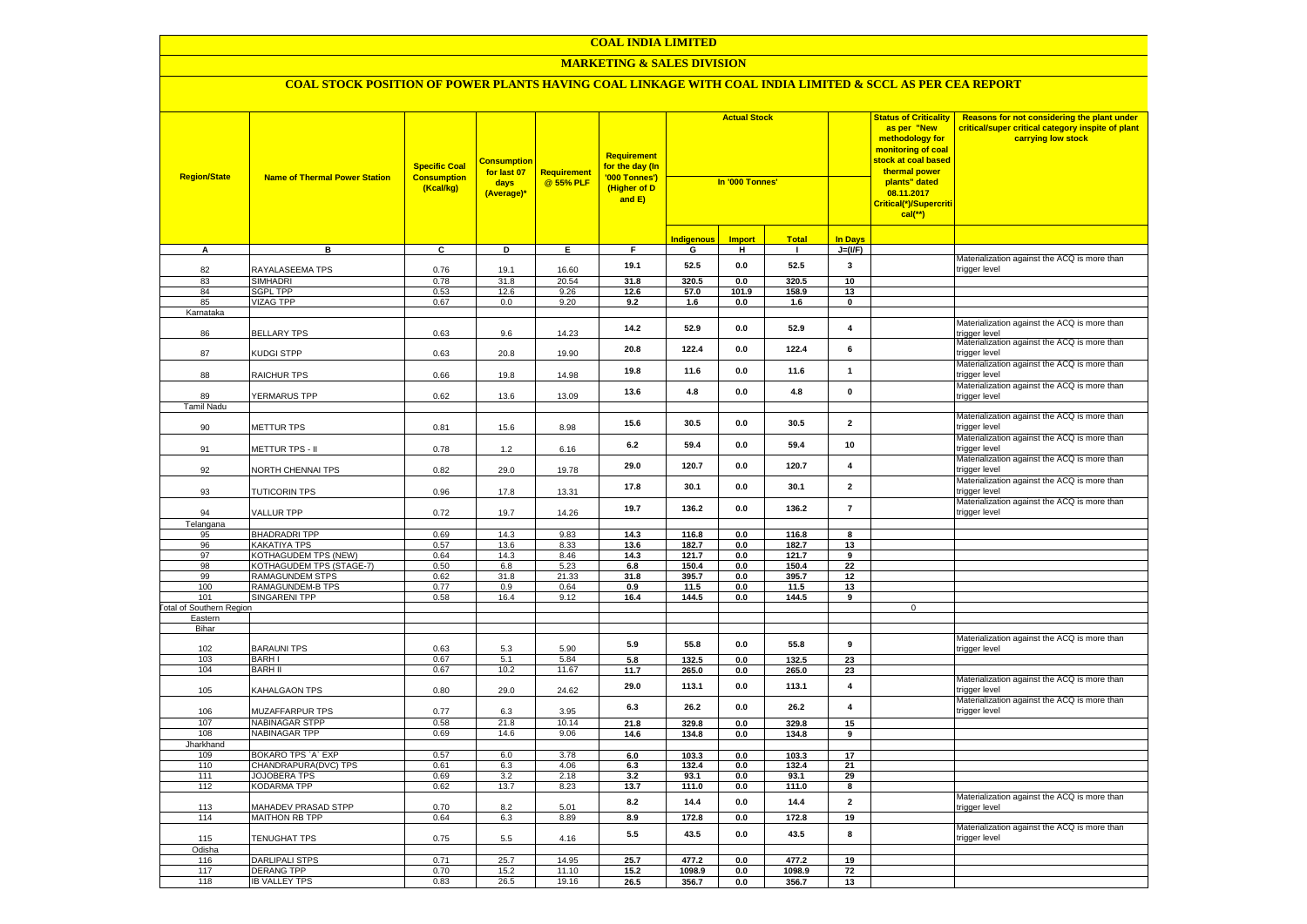#### **MARKETING & SALES DIVISION**

| <b>Region/State</b>                    | <b>Name of Thermal Power Station</b> | <b>Specific Coal</b><br><b>Consumption</b><br>(Kcal/kg) | <b>Consumption</b><br>for last 07<br>days<br>(Average)* | <b>Requirement</b><br>@ 55% PLF | <b>Requirement</b><br>for the day (In<br>'000 Tonnes')<br>(Higher of D<br>and E) | <b>Actual Stock</b><br>In '000 Tonnes' |                |                |                         | <b>Status of Criticality</b><br>as per "New<br>methodology for<br>monitoring of coal<br><mark>stock at coal based</mark><br>thermal power<br>plants" dated<br>08.11.2017<br>Critical(*)/Supercriti<br>$cal$ (**) | Reasons for not considering the plant under<br>critical/super critical category inspite of plant<br>carrying low stock |
|----------------------------------------|--------------------------------------|---------------------------------------------------------|---------------------------------------------------------|---------------------------------|----------------------------------------------------------------------------------|----------------------------------------|----------------|----------------|-------------------------|------------------------------------------------------------------------------------------------------------------------------------------------------------------------------------------------------------------|------------------------------------------------------------------------------------------------------------------------|
|                                        |                                      |                                                         |                                                         |                                 |                                                                                  | Indigenous                             | <b>Import</b>  | <b>Total</b>   | <b>In Days</b>          |                                                                                                                                                                                                                  |                                                                                                                        |
| A                                      | в                                    | C                                                       | D                                                       | Е.                              | F.                                                                               | G                                      | н              | $\mathbf{L}$   | $J=(VF)$                |                                                                                                                                                                                                                  |                                                                                                                        |
| 82                                     | RAYALASEEMA TPS                      | 0.76                                                    | 19.1                                                    | 16.60                           | 19.1                                                                             | 52.5                                   | 0.0            | 52.5           | 3                       |                                                                                                                                                                                                                  | Materialization against the ACQ is more than<br>trigger level                                                          |
| 83                                     | <b>SIMHADRI</b>                      | 0.78                                                    | 31.8                                                    | 20.54                           | 31.8                                                                             | 320.5                                  | 0.0            | 320.5          | 10                      |                                                                                                                                                                                                                  |                                                                                                                        |
| 84                                     | <b>SGPL TPP</b>                      | 0.53                                                    | 12.6                                                    | 9.26                            | 12.6                                                                             | 57.0                                   | 101.9          | 158.9          | 13                      |                                                                                                                                                                                                                  |                                                                                                                        |
| 85                                     | VIZAG TPP                            | 0.67                                                    | 0.0                                                     | 9.20                            | 9.2                                                                              | 1.6                                    | 0.0            | 1.6            | $\mathbf 0$             |                                                                                                                                                                                                                  |                                                                                                                        |
| Karnataka<br>86                        | <b>BELLARY TPS</b>                   | 0.63                                                    | 9.6                                                     | 14.23                           | 14.2                                                                             | 52.9                                   | $0.0\,$        | 52.9           | $\overline{\mathbf{4}}$ |                                                                                                                                                                                                                  | Materialization against the ACQ is more than<br>trigger level                                                          |
| 87                                     | KUDGI STPP                           | 0.63                                                    | 20.8                                                    | 19.90                           | 20.8                                                                             | 122.4                                  | 0.0            | 122.4          | 6                       |                                                                                                                                                                                                                  | Materialization against the ACQ is more than<br>trigger level                                                          |
| 88                                     | RAICHUR TPS                          | 0.66                                                    | 19.8                                                    | 14.98                           | 19.8                                                                             | 11.6                                   | 0.0            | 11.6           | $\mathbf{1}$            |                                                                                                                                                                                                                  | Materialization against the ACQ is more than<br>trigger level                                                          |
| 89                                     | YERMARUS TPP                         | 0.62                                                    | 13.6                                                    | 13.09                           | 13.6                                                                             | 4.8                                    | 0.0            | 4.8            | $\pmb{0}$               |                                                                                                                                                                                                                  | Materialization against the ACQ is more than<br>trigger level                                                          |
| Tamil Nadu                             |                                      |                                                         |                                                         |                                 |                                                                                  |                                        |                |                |                         |                                                                                                                                                                                                                  | Materialization against the ACQ is more than                                                                           |
| 90                                     | METTUR TPS                           | 0.81                                                    | 15.6                                                    | 8.98                            | 15.6                                                                             | 30.5                                   | 0.0            | 30.5           | $\overline{\mathbf{2}}$ |                                                                                                                                                                                                                  | trigger level<br>Materialization against the ACQ is more than                                                          |
| 91                                     | METTUR TPS - II                      | 0.78                                                    | $1.2\,$                                                 | 6.16                            | 6.2                                                                              | 59.4                                   | 0.0            | 59.4           | 10                      |                                                                                                                                                                                                                  | rigger level<br>Materialization against the ACQ is more than                                                           |
| 92                                     | NORTH CHENNAI TPS                    | 0.82                                                    | 29.0                                                    | 19.78                           | 29.0                                                                             | 120.7                                  | 0.0            | 120.7          | $\overline{\mathbf{4}}$ |                                                                                                                                                                                                                  | rigger level<br>Materialization against the ACQ is more than                                                           |
| 93                                     | <b>TUTICORIN TPS</b>                 | 0.96                                                    | 17.8                                                    | 13.31                           | 17.8                                                                             | 30.1                                   | 0.0            | 30.1           | $\overline{\mathbf{2}}$ |                                                                                                                                                                                                                  | rigger level<br>Materialization against the ACQ is more than                                                           |
| 94<br>Telangana                        | VALLUR TPP                           | 0.72                                                    | 19.7                                                    | 14.26                           | 19.7                                                                             | 136.2                                  | 0.0            | 136.2          | $\overline{7}$          |                                                                                                                                                                                                                  | rigger level                                                                                                           |
| 95                                     | <b>BHADRADRI TPP</b>                 | 0.69                                                    | 14.3                                                    | 9.83                            | 14.3                                                                             | 116.8                                  | 0.0            | 116.8          | 8                       |                                                                                                                                                                                                                  |                                                                                                                        |
| 96                                     | <b>KAKATIYA TPS</b>                  | 0.57                                                    | 13.6                                                    | 8.33                            | 13.6                                                                             | 182.7                                  | 0.0            | 182.7          | 13                      |                                                                                                                                                                                                                  |                                                                                                                        |
| 97                                     | <b>KOTHAGUDEM TPS (NEW)</b>          | 0.64                                                    | 14.3                                                    | 8.46                            | 14.3                                                                             | 121.7                                  | 0.0            | 121.7          | 9                       |                                                                                                                                                                                                                  |                                                                                                                        |
| 98                                     | KOTHAGUDEM TPS (STAGE-7)             | 0.50                                                    | 6.8                                                     | 5.23                            | 6.8                                                                              | 150.4                                  | 0.0            | 150.4          | 22                      |                                                                                                                                                                                                                  |                                                                                                                        |
| 99                                     | RAMAGUNDEM STPS                      | 0.62                                                    | 31.8                                                    | 21.33                           | 31.8                                                                             | 395.7                                  | 0.0            | 395.7          | 12                      |                                                                                                                                                                                                                  |                                                                                                                        |
| 100                                    | RAMAGUNDEM-B TPS                     | 0.77                                                    | 0.9                                                     | 0.64                            | 0.9                                                                              | 11.5                                   | 0.0            | 11.5           | 13                      |                                                                                                                                                                                                                  |                                                                                                                        |
| 101<br><b>Fotal of Southern Region</b> | SINGARENI TPP                        | 0.58                                                    | 16.4                                                    | 9.12                            | 16.4                                                                             | 144.5                                  | 0.0            | 144.5          | 9                       | $\mathsf 0$                                                                                                                                                                                                      |                                                                                                                        |
| Eastern                                |                                      |                                                         |                                                         |                                 |                                                                                  |                                        |                |                |                         |                                                                                                                                                                                                                  |                                                                                                                        |
| Bihar                                  |                                      |                                                         |                                                         |                                 |                                                                                  |                                        |                |                |                         |                                                                                                                                                                                                                  |                                                                                                                        |
| 102                                    | <b>BARAUNI TPS</b>                   | 0.63                                                    | 5.3                                                     | 5.90                            | 5.9                                                                              | 55.8                                   | 0.0            | 55.8           | 9                       |                                                                                                                                                                                                                  | Materialization against the ACQ is more than<br>rigger level                                                           |
| 103                                    | <b>BARHI</b>                         | 0.67                                                    | 5.1                                                     | 5.84                            | 5.8                                                                              | 132.5                                  | 0.0            | 132.5          | 23                      |                                                                                                                                                                                                                  |                                                                                                                        |
| 104                                    | <b>BARH II</b>                       | 0.67                                                    | 10.2                                                    | 11.67                           | 11.7                                                                             | 265.0                                  | 0.0            | 265.0          | 23                      |                                                                                                                                                                                                                  |                                                                                                                        |
| 105                                    | KAHALGAON TPS                        | 0.80                                                    | 29.0                                                    | 24.62                           | 29.0                                                                             | 113.1                                  | 0.0            | 113.1          | $\overline{\mathbf{4}}$ |                                                                                                                                                                                                                  | Materialization against the ACQ is more than<br>rigger level<br>Materialization against the ACQ is more than           |
| 106                                    | <b>MUZAFFARPUR TPS</b>               | 0.77                                                    | 6.3                                                     | 3.95                            | 6.3                                                                              | 26.2                                   | 0.0            | 26.2           | $\overline{\mathbf{4}}$ |                                                                                                                                                                                                                  | rigger level                                                                                                           |
| 107<br>108                             | NABINAGAR STPP<br>NABINAGAR TPP      | 0.58<br>0.69                                            | 21.8<br>14.6                                            | 10.14<br>9.06                   | 21.8<br>14.6                                                                     | 329.8<br>134.8                         | 0.0<br>0.0     | 329.8<br>134.8 | 15<br>9                 |                                                                                                                                                                                                                  |                                                                                                                        |
| Jharkhand                              |                                      |                                                         |                                                         |                                 |                                                                                  |                                        |                |                |                         |                                                                                                                                                                                                                  |                                                                                                                        |
| 109                                    | BOKARO TPS `A` EXP                   | 0.57                                                    | 6.0                                                     | 3.78                            | 6.0                                                                              | 103.3                                  | 0.0            | 103.3          | 17                      |                                                                                                                                                                                                                  |                                                                                                                        |
| 110                                    | CHANDRAPURA(DVC) TPS                 | 0.61                                                    | 6.3                                                     | 4.06                            | 6.3                                                                              | 132.4                                  | 0.0            | 132.4          | 21                      |                                                                                                                                                                                                                  |                                                                                                                        |
| 111                                    | JOJOBERA TPS                         | 0.69                                                    | 3.2                                                     | 2.18                            | 3.2                                                                              | 93.1                                   | 0.0            | 93.1           | 29                      |                                                                                                                                                                                                                  |                                                                                                                        |
| 112                                    | KODARMA TPP                          | 0.62                                                    | 13.7                                                    | 8.23                            | 13.7                                                                             | 111.0                                  | 0.0            | 111.0          | 8                       |                                                                                                                                                                                                                  |                                                                                                                        |
| 113                                    | <b>MAHADEV PRASAD STPP</b>           | 0.70                                                    | 8.2                                                     | 5.01                            | 8.2                                                                              | 14.4                                   | 0.0            | 14.4           | $\overline{2}$          |                                                                                                                                                                                                                  | Materialization against the ACQ is more than<br>rigger level                                                           |
| 114                                    | MAITHON RB TPP                       | 0.64                                                    | 6.3                                                     | 8.89                            | 8.9                                                                              | 172.8                                  | 0.0            | 172.8          | 19                      |                                                                                                                                                                                                                  |                                                                                                                        |
| 115                                    | TENUGHAT TPS                         | 0.75                                                    | 5.5                                                     | 4.16                            | 5.5                                                                              | 43.5                                   | 0.0            | 43.5           | 8                       |                                                                                                                                                                                                                  | Materialization against the ACQ is more than<br>trigger level                                                          |
| Odisha<br>116                          | <b>DARLIPALI STPS</b>                | 0.71                                                    | 25.7                                                    | 14.95                           | 25.7                                                                             | 477.2                                  | 0.0            | 477.2          | 19                      |                                                                                                                                                                                                                  |                                                                                                                        |
| 117                                    | <b>DERANG TPP</b>                    | 0.70                                                    | 15.2                                                    | 11.10                           | 15.2                                                                             | 1098.9                                 | $\mathbf{0.0}$ | 1098.9         | ${\bf 72}$              |                                                                                                                                                                                                                  |                                                                                                                        |
| 118                                    | <b>IB VALLEY TPS</b>                 | 0.83                                                    | 26.5                                                    | 19.16                           | 26.5                                                                             | 356.7                                  | 0.0            | 356.7          | 13                      |                                                                                                                                                                                                                  |                                                                                                                        |